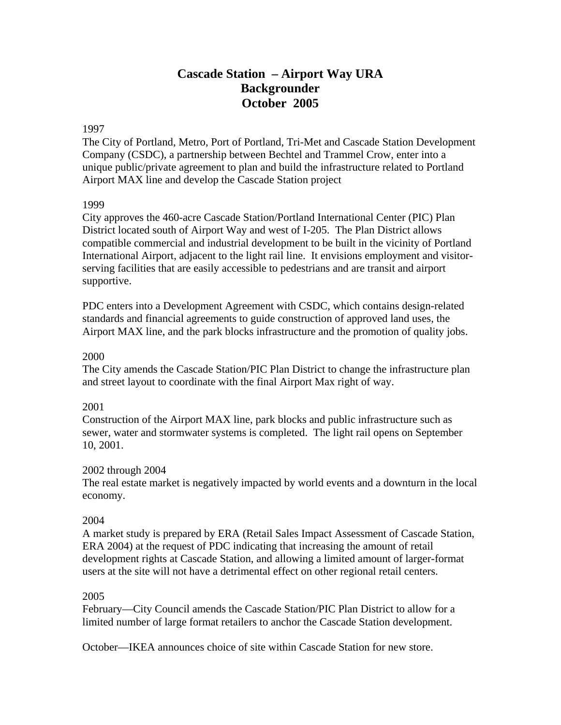# **Cascade Station – Airport Way URA Backgrounder October 2005**

### 1997

The City of Portland, Metro, Port of Portland, Tri-Met and Cascade Station Development Company (CSDC), a partnership between Bechtel and Trammel Crow, enter into a unique public/private agreement to plan and build the infrastructure related to Portland Airport MAX line and develop the Cascade Station project

#### 1999

City approves the 460-acre Cascade Station/Portland International Center (PIC) Plan District located south of Airport Way and west of I-205. The Plan District allows compatible commercial and industrial development to be built in the vicinity of Portland International Airport, adjacent to the light rail line. It envisions employment and visitorserving facilities that are easily accessible to pedestrians and are transit and airport supportive.

PDC enters into a Development Agreement with CSDC, which contains design-related standards and financial agreements to guide construction of approved land uses, the Airport MAX line, and the park blocks infrastructure and the promotion of quality jobs.

#### 2000

The City amends the Cascade Station/PIC Plan District to change the infrastructure plan and street layout to coordinate with the final Airport Max right of way.

### 2001

Construction of the Airport MAX line, park blocks and public infrastructure such as sewer, water and stormwater systems is completed. The light rail opens on September 10, 2001.

### 2002 through 2004

The real estate market is negatively impacted by world events and a downturn in the local economy.

### 2004

A market study is prepared by ERA (Retail Sales Impact Assessment of Cascade Station, ERA 2004) at the request of PDC indicating that increasing the amount of retail development rights at Cascade Station, and allowing a limited amount of larger-format users at the site will not have a detrimental effect on other regional retail centers.

#### 2005

February—City Council amends the Cascade Station/PIC Plan District to allow for a limited number of large format retailers to anchor the Cascade Station development.

October—IKEA announces choice of site within Cascade Station for new store.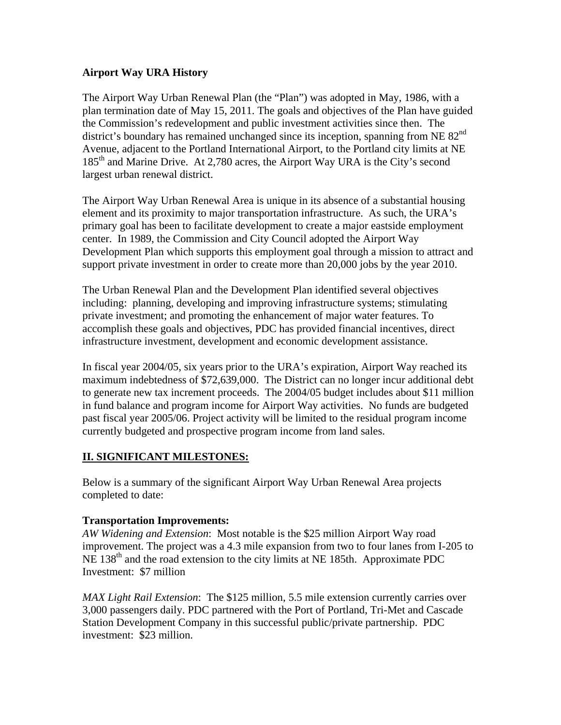## **Airport Way URA History**

The Airport Way Urban Renewal Plan (the "Plan") was adopted in May, 1986, with a plan termination date of May 15, 2011. The goals and objectives of the Plan have guided the Commission's redevelopment and public investment activities since then. The district's boundary has remained unchanged since its inception, spanning from NE 82<sup>nd</sup> Avenue, adjacent to the Portland International Airport, to the Portland city limits at NE 185<sup>th</sup> and Marine Drive. At 2,780 acres, the Airport Way URA is the City's second largest urban renewal district.

The Airport Way Urban Renewal Area is unique in its absence of a substantial housing element and its proximity to major transportation infrastructure. As such, the URA's primary goal has been to facilitate development to create a major eastside employment center. In 1989, the Commission and City Council adopted the Airport Way Development Plan which supports this employment goal through a mission to attract and support private investment in order to create more than 20,000 jobs by the year 2010.

The Urban Renewal Plan and the Development Plan identified several objectives including: planning, developing and improving infrastructure systems; stimulating private investment; and promoting the enhancement of major water features. To accomplish these goals and objectives, PDC has provided financial incentives, direct infrastructure investment, development and economic development assistance.

In fiscal year 2004/05, six years prior to the URA's expiration, Airport Way reached its maximum indebtedness of \$72,639,000. The District can no longer incur additional debt to generate new tax increment proceeds. The 2004/05 budget includes about \$11 million in fund balance and program income for Airport Way activities. No funds are budgeted past fiscal year 2005/06. Project activity will be limited to the residual program income currently budgeted and prospective program income from land sales.

# **II. SIGNIFICANT MILESTONES:**

Below is a summary of the significant Airport Way Urban Renewal Area projects completed to date:

### **Transportation Improvements:**

*AW Widening and Extension*: Most notable is the \$25 million Airport Way road improvement. The project was a 4.3 mile expansion from two to four lanes from I-205 to NE 138<sup>th</sup> and the road extension to the city limits at NE 185th. Approximate PDC Investment: \$7 million

*MAX Light Rail Extension*: The \$125 million, 5.5 mile extension currently carries over 3,000 passengers daily. PDC partnered with the Port of Portland, Tri-Met and Cascade Station Development Company in this successful public/private partnership. PDC investment: \$23 million.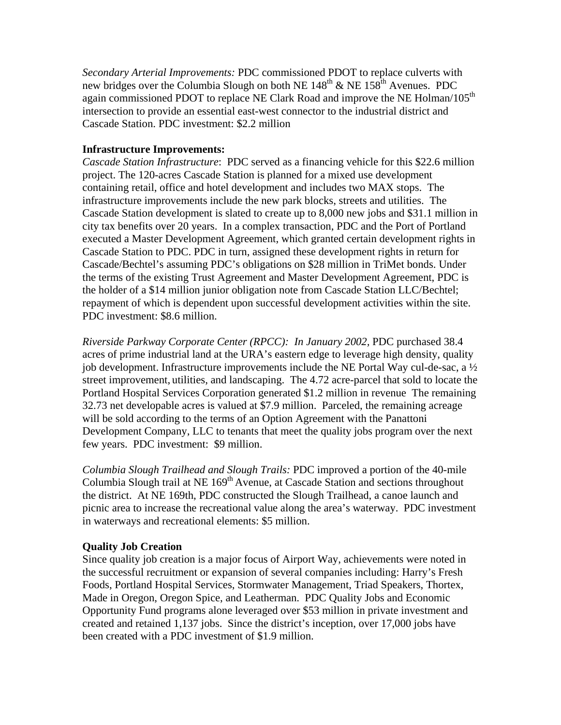*Secondary Arterial Improvements:* PDC commissioned PDOT to replace culverts with new bridges over the Columbia Slough on both NE  $148^{\text{th}}$  & NE  $158^{\text{th}}$  Avenues. PDC again commissioned PDOT to replace NE Clark Road and improve the NE Holman/105<sup>th</sup> intersection to provide an essential east-west connector to the industrial district and Cascade Station. PDC investment: \$2.2 million

## **Infrastructure Improvements:**

*Cascade Station Infrastructure*: PDC served as a financing vehicle for this \$22.6 million project. The 120-acres Cascade Station is planned for a mixed use development containing retail, office and hotel development and includes two MAX stops. The infrastructure improvements include the new park blocks, streets and utilities. The Cascade Station development is slated to create up to 8,000 new jobs and \$31.1 million in city tax benefits over 20 years. In a complex transaction, PDC and the Port of Portland executed a Master Development Agreement, which granted certain development rights in Cascade Station to PDC. PDC in turn, assigned these development rights in return for Cascade/Bechtel's assuming PDC's obligations on \$28 million in TriMet bonds. Under the terms of the existing Trust Agreement and Master Development Agreement, PDC is the holder of a \$14 million junior obligation note from Cascade Station LLC/Bechtel; repayment of which is dependent upon successful development activities within the site. PDC investment: \$8.6 million.

*Riverside Parkway Corporate Center (RPCC): In January 2002,* PDC purchased 38.4 acres of prime industrial land at the URA's eastern edge to leverage high density, quality job development. Infrastructure improvements include the NE Portal Way cul-de-sac, a ½ street improvement, utilities, and landscaping. The 4.72 acre-parcel that sold to locate the Portland Hospital Services Corporation generated \$1.2 million in revenue The remaining 32.73 net developable acres is valued at \$7.9 million. Parceled, the remaining acreage will be sold according to the terms of an Option Agreement with the Panattoni Development Company, LLC to tenants that meet the quality jobs program over the next few years. PDC investment: \$9 million.

*Columbia Slough Trailhead and Slough Trails:* PDC improved a portion of the 40-mile Columbia Slough trail at NE  $169<sup>th</sup>$  Avenue, at Cascade Station and sections throughout the district. At NE 169th, PDC constructed the Slough Trailhead, a canoe launch and picnic area to increase the recreational value along the area's waterway. PDC investment in waterways and recreational elements: \$5 million.

# **Quality Job Creation**

Since quality job creation is a major focus of Airport Way, achievements were noted in the successful recruitment or expansion of several companies including: Harry's Fresh Foods, Portland Hospital Services, Stormwater Management, Triad Speakers, Thortex, Made in Oregon, Oregon Spice, and Leatherman. PDC Quality Jobs and Economic Opportunity Fund programs alone leveraged over \$53 million in private investment and created and retained 1,137 jobs. Since the district's inception, over 17,000 jobs have been created with a PDC investment of \$1.9 million.